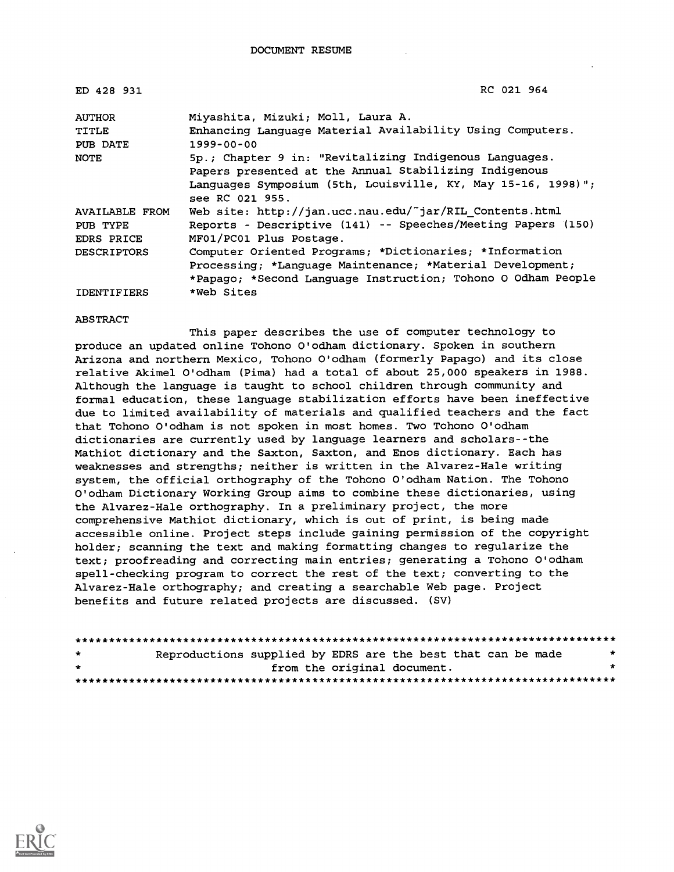| ED 428 931         | RC 021 964                                                   |
|--------------------|--------------------------------------------------------------|
| <b>AUTHOR</b>      | Miyashita, Mizuki; Moll, Laura A.                            |
| TITLE              | Enhancing Language Material Availability Using Computers.    |
| PUB DATE           | 1999-00-00                                                   |
| <b>NOTE</b>        | 5p.; Chapter 9 in: "Revitalizing Indigenous Languages.       |
|                    | Papers presented at the Annual Stabilizing Indigenous        |
|                    | Languages Symposium (5th, Louisville, KY, May 15-16, 1998)"; |
|                    | see RC 021 955.                                              |
| AVAILABLE FROM     | Web site: http://jan.ucc.nau.edu/~jar/RIL Contents.html      |
| PUB TYPE           | Reports - Descriptive (141) -- Speeches/Meeting Papers (150) |
| EDRS PRICE         | MF01/PC01 Plus Postage.                                      |
| <b>DESCRIPTORS</b> | Computer Oriented Programs; *Dictionaries; *Information      |
|                    | Processing; *Language Maintenance; *Material Development;    |
|                    | *Papago; *Second Language Instruction; Tohono O Odham People |
| <b>IDENTIFIERS</b> | *Web Sites                                                   |

#### ABSTRACT

This paper describes the use of computer technology to produce an updated online Tohono O'odham dictionary. Spoken in southern Arizona and northern Mexico, Tohono O'odham (formerly Papago) and its close relative Akimel O'odham (Pima) had a total of about 25,000 speakers in 1988. Although the language is taught to school children through community and formal education, these language stabilization efforts have been ineffective due to limited availability of materials and qualified teachers and the fact that Tohono O'odham is not spoken in most homes. Two Tohono O'odham dictionaries are currently used by language learners and scholars--the Mathiot dictionary and the Saxton, Saxton, and Enos dictionary. Each has weaknesses and strengths; neither is written in the Alvarez-Hale writing system, the official orthography of the Tohono O'odham Nation. The Tohono O'odham Dictionary Working Group aims to combine these dictionaries, using the Alvarez-Hale orthography. In a preliminary project, the more comprehensive Mathiot dictionary, which is out of print, is being made accessible online. Project steps include gaining permission of the copyright holder; scanning the text and making formatting changes to regularize the text; proofreading and correcting main entries; generating a Tohono O'odham spell-checking program to correct the rest of the text; converting to the Alvarez-Hale orthography; and creating a searchable Web page. Project benefits and future related projects are discussed. (SV)

| $\mathbf{r}$ | Reproductions supplied by EDRS are the best that can be made |  |  |                             |  |  | $\star$ |
|--------------|--------------------------------------------------------------|--|--|-----------------------------|--|--|---------|
| *            |                                                              |  |  | from the original document. |  |  |         |
|              |                                                              |  |  |                             |  |  |         |

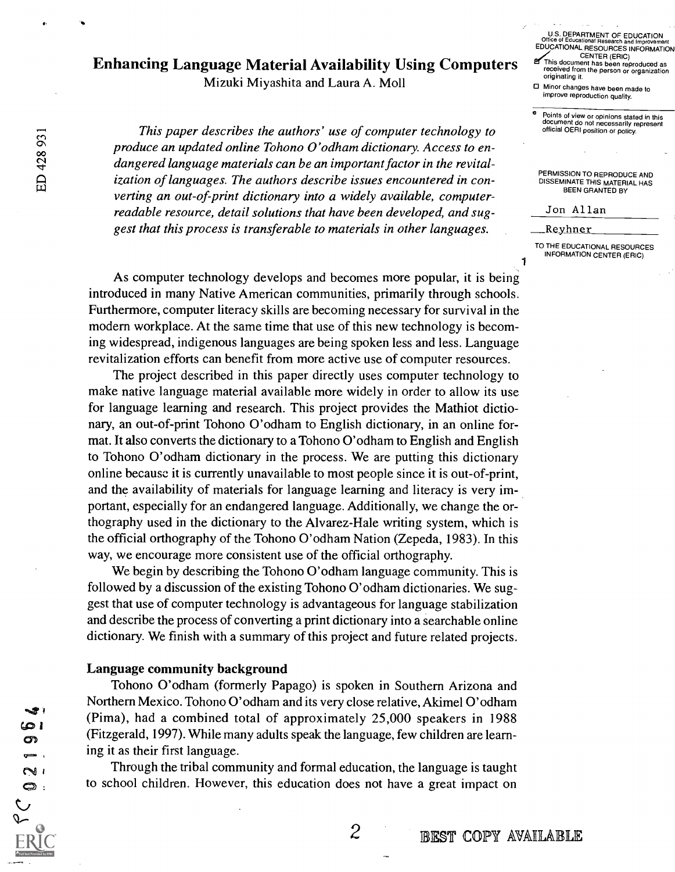# Enhancing Language Material Availability Using Computers

Mizuki Miyashita and Laura A. Moll

This paper describes the authors' use of computer technology to produce an updated online Tohono O'odham dictionary. Access to endangered language materials can be an important factor in the revitalization of languages. The authors describe issues encountered in converting an out-of-print dictionary into a widely available, computerreadable resource, detail solutions that have been developed, and suggest that this process is transferable to materials in other languages.

As computer technology develops and becomes more popular, it is being introduced in many Native American communities, primarily through schools. Furthermore, computer literacy skills are becoming necessary for survival in the modern workplace. At the same time that use of this new technology is becoming widespread, indigenous languages are being spoken less and less. Language revitalization efforts can benefit from more active use of computer resources.

The project described in this paper directly uses computer technology to make native language material available more widely in order to allow its use for language learning and research. This project provides the Mathiot dictionary, an out-of-print Tohono O'odham to English dictionary, in an online format. It also converts the dictionary to a Tohono O'odham to English and English to Tohono O'odham dictionary in the process. We are putting this dictionary online because it is currently unavailable to most people since it is out-of-print, and the availability of materials for language learning and literacy is very important, especially for an endangered language. Additionally, we change the orthography used in the dictionary to the Alvarez-Hale writing system, which is the official orthography of the Tohono O'odham Nation (Zepeda, 1983). In this way, we encourage more consistent use of the official orthography.

We begin by describing the Tohono O'odham language community. This is followed by a discussion of the existing Tohono O'odham dictionaries. We suggest that use of computer technology is advantageous for language stabilization and describe the process of converting a print dictionary into a searchable online dictionary. We finish with a summary of this project and future related projects.

#### Language community background

Tohono 0' odham (formerly Papago) is spoken in Southern Arizona and Northern Mexico. Tohono O'odham and its very close relative, Akimel 0' odham (Pima), had a combined total of approximately 25,000 speakers in 1988 (Fitzgerald, 1997). While many adults speak the language, few children are learning it as their first language.

Through the tribal community and formal education, the language is taught to school children. However, this education does not have a great impact on

2 BEST COPY AVAILABLE

U.S. DEPARTMENT OF EDUCATION EDUCATIONAL RESOURCES INFORMATION

- CENTER (ERIC) VIThis document has been reproduced as received from the person or organization originating it.
- 0 Minor changes have been made to improve reproduction quality.

° Points of view or opinions stated in this document do not necessarily represent official OERI position or policy.

PERMISSION TO REPRODUCE AND DISSEMINATE THIS MATERIAL HAS BEEN GRANTED BY

Jon Allan

Reyhner

1

TO THE EDUCATIONAL RESOURCES INFORMATION CENTER (ERIC)

-21 ا ھ ග

 $\sim$  $\bullet$ 

11.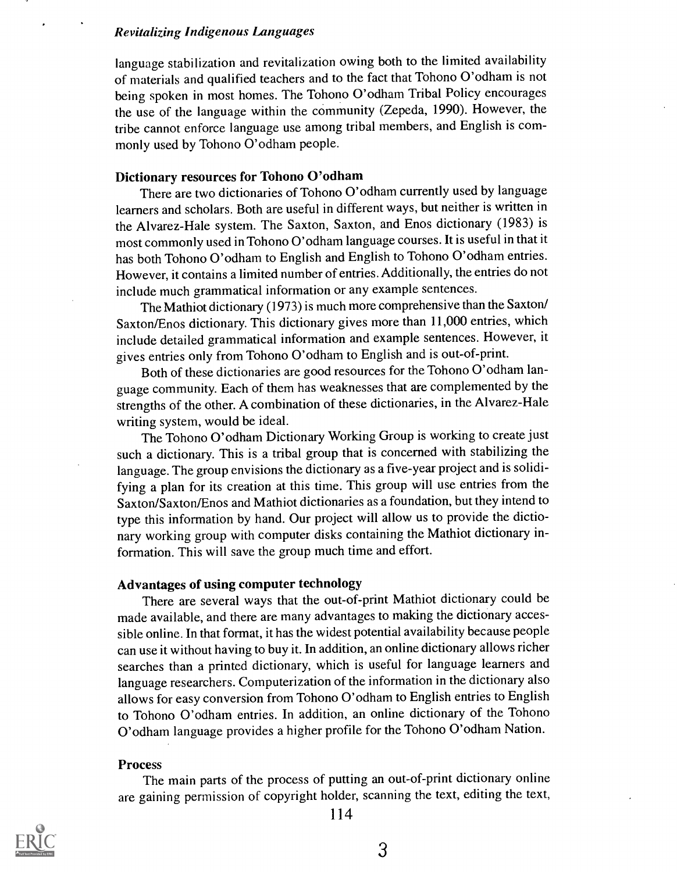# Revitalizing Indigenous Languages

language stabilization and revitalization owing both to the limited availability of materials and qualified teachers and to the fact that Tohono O'odham is not being spoken in most homes. The Tohono O'odham Tribal Policy encourages the use of the language within the community (Zepeda, 1990). However, the tribe cannot enforce language use among tribal members, and English is commonly used by Tohono O'odham people.

### Dictionary resources for Tohono O'odham

There are two dictionaries of Tohono O'odham currently used by language learners and scholars. Both are useful in different ways, but neither is written in the Alvarez-Hale system. The Saxton, Saxton, and Enos dictionary (1983) is most commonly used in Tohono O'odham language courses. It is useful in that it has both Tohono O' odham to English and English to Tohono O' odham entries. However, it contains a limited number of entries. Additionally, the entries do not include much grammatical information or any example sentences.

The Mathiot dictionary (1973) is much more comprehensive than the Saxton/ Saxton/Enos dictionary. This dictionary gives more than 11,000 entries, which include detailed grammatical information and example sentences. However, it gives entries only from Tohono 0' odham to English and is out-of-print.

Both of these dictionaries are good resources for the Tohono 0' odham language community. Each of them has weaknesses that are complemented by the strengths of the other. A combination of these dictionaries, in the Alvarez-Hale writing system, would be ideal.

The Tohono 0' odham Dictionary Working Group is working to create just such a dictionary. This is a tribal group that is concerned with stabilizing the language. The group envisions the dictionary as a five-year project and is solidifying a plan for its creation at this time. This group will use entries from the Saxton/Saxton/Enos and Mathiot dictionaries as a foundation, but they intend to type this information by hand. Our project will allow us to provide the dictionary working group with computer disks containing the Mathiot dictionary information. This will save the group much time and effort.

#### Advantages of using computer technology

There are several ways that the out-of-print Mathiot dictionary could be made available, and there are many advantages to making the dictionary accessible online. In that format, it has the widest potential availability because people can use it without having to buy it. In addition, an online dictionary allows richer searches than a printed dictionary, which is useful for language learners and language researchers. Computerization of the information in the dictionary also allows for easy conversion from Tohono O'odham to English entries to English to Tohono 0' odham entries. In addition, an online dictionary of the Tohono O'odham language provides a higher profile for the Tohono O'odham Nation.

#### Process

The main parts of the process of putting an out-of-print dictionary online are gaining permission of copyright holder, scanning the text, editing the text,

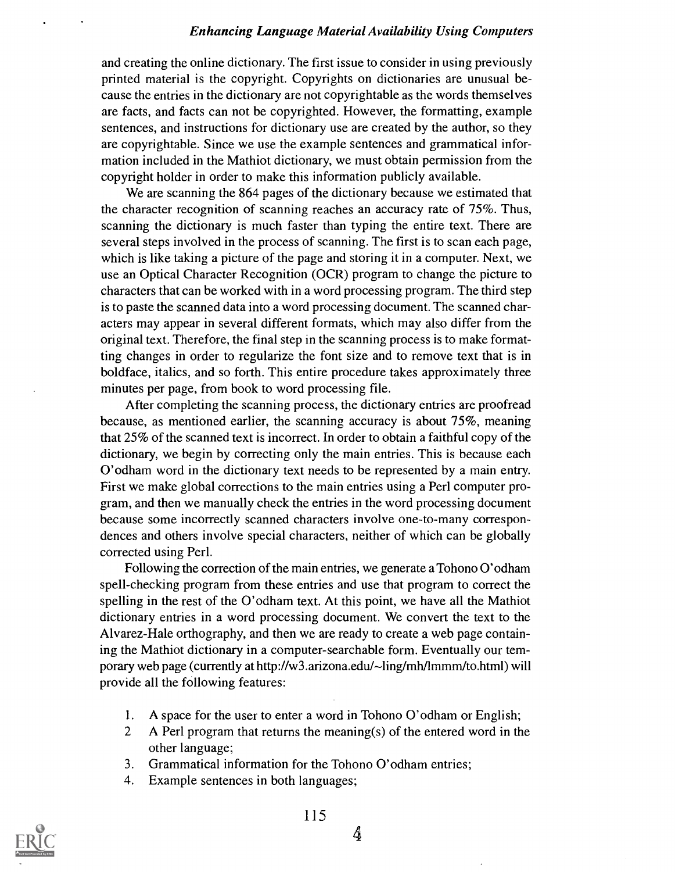# Enhancing Language Material Availability Using Computers

and creating the online dictionary. The first issue to consider in using previously printed material is the copyright. Copyrights on dictionaries are unusual because the entries in the dictionary are not copyrightable as the words themselves are facts, and facts can not be copyrighted. However, the formatting, example sentences, and instructions for dictionary use are created by the author, so they are copyrightable. Since we use the example sentences and grammatical information included in the Mathiot dictionary, we must obtain permission from the copyright holder in order to make this information publicly available.

We are scanning the 864 pages of the dictionary because we estimated that the character recognition of scanning reaches an accuracy rate of 75%. Thus, scanning the dictionary is much faster than typing the entire text. There are several steps involved in the process of scanning. The first is to scan each page, which is like taking a picture of the page and storing it in a computer. Next, we use an Optical Character Recognition (OCR) program to change the picture to characters that can be worked with in a word processing program. The third step is to paste the scanned data into a word processing document. The scanned characters may appear in several different formats, which may also differ from the original text. Therefore, the final step in the scanning process is to make formatting changes in order to regularize the font size and to remove text that is in boldface, italics, and so forth. This entire procedure takes approximately three minutes per page, from book to word processing file.

After completing the scanning process, the dictionary entries are proofread because, as mentioned earlier, the scanning accuracy is about 75%, meaning that 25% of the scanned text is incorrect. In order to obtain a faithful copy of the dictionary, we begin by correcting only the main entries. This is because each O'odham word in the dictionary text needs to be represented by a main entry. First we make global corrections to the main entries using a Perl computer program, and then we manually check the entries in the word processing document because some incorrectly scanned characters involve one-to-many correspondences and others involve special characters, neither of which can be globally corrected using Perl.

Following the correction of the main entries, we generate a Tohono 0' odham spell-checking program from these entries and use that program to correct the spelling in the rest of the O' odham text. At this point, we have all the Mathiot dictionary entries in a word processing document. We convert the text to the Alvarez-Hale orthography, and then we are ready to create a web page containing the Mathiot dictionary in a computer-searchable form. Eventually our temporary web page (currently at http://w3.arizona.edu/~ling/mh/lmmm/to.html) will provide all the following features:

- I. A space for the user to enter a word in Tohono 0' odham or English;
- 2 A Perl program that returns the meaning(s) of the entered word in the other language;
- 3. Grammatical information for the Tohono 0' odham entries;
- 4. Example sentences in both languages;



115

4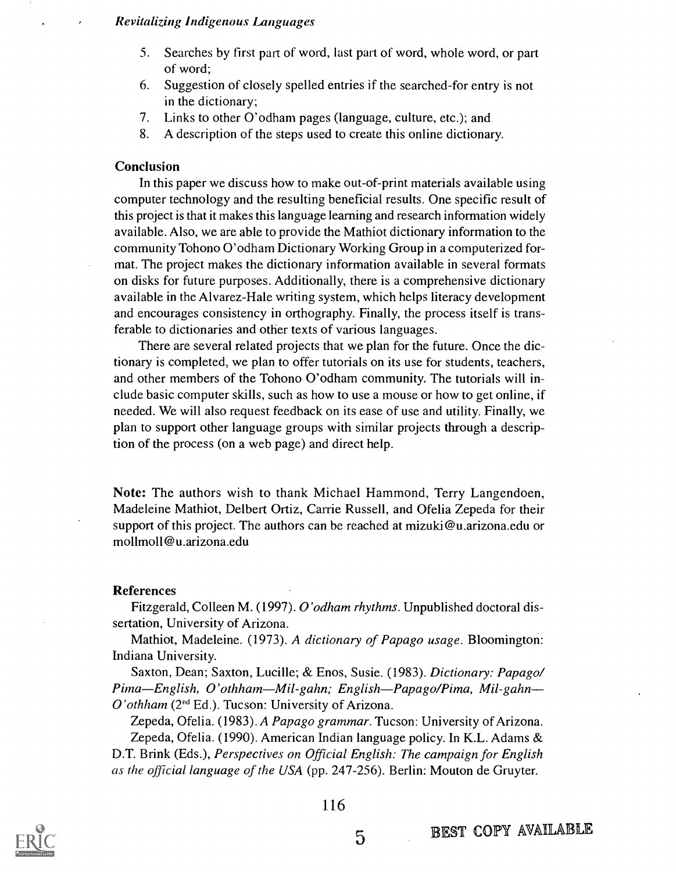# Revitalizing Indigenous Languages

- 5. Searches by first part of word, last part of word, whole word, or part of word;
- 6. Suggestion of closely spelled entries if the searched-for entry is not in the dictionary;
- 7. Links to other O'odharn pages (language, culture, etc.); and
- 8. A description of the steps used to create this online dictionary.

## Conclusion

In this paper we discuss how to make out-of-print materials available using computer technology and the resulting beneficial results. One specific result of this project is that it makes this language learning and research information widely available. Also, we are able to provide the Mathiot dictionary information to the community Tohono O'odham Dictionary Working Group in a computerized format. The project makes the dictionary information available in several formats on disks for future purposes. Additionally, there is a comprehensive dictionary available in the Alvarez-Hale writing system, which helps literacy development and encourages consistency in orthography. Finally, the process itself is transferable to dictionaries and other texts of various languages.

There are several related projects that we plan for the future. Once the dictionary is completed, we plan to offer tutorials on its use for students, teachers, and other members of the Tohono O'odham community. The tutorials will include basic computer skills, such as how to use a mouse or how to get online, if needed. We will also request feedback on its ease of use and utility. Finally, we plan to support other language groups with similar projects through a description of the process (on a web page) and direct help.

Note: The authors wish to thank Michael Hammond, Terry Langendoen, Madeleine Mathiot, Delbert Ortiz, Carrie Russell, and Ofelia Zepeda for their support of this project. The authors can be reached at mizuki@u.arizona.edu or mollmoll@u.arizona.edu

#### References

Fitzgerald, Colleen M. (1997). O'odham rhythms. Unpublished doctoral dissertation, University of Arizona.

Mathiot, Madeleine. (1973). A dictionary of Papago usage. Bloomington: Indiana University.

Saxton, Dean; Saxton, Lucille; & Enos, Susie. (1983). Dictionary: Papago/  $Pima—English, O'othham—Mil-gahn; English—Papago/Pima, Mil-gahn--$ O'othham ( $2<sup>nd</sup> Ed.$ ). Tucson: University of Arizona.

Zepeda, Ofelia. (1983). A Papago grammar. Tucson: University of Arizona. Zepeda, Ofelia. (1990). American Indian language policy. In K.L. Adams & D.T. Brink (Eds.), Perspectives on Official English: The campaign for English as the official language of the USA (pp. 247-256). Berlin: Mouton de Gruyter.



5  $\mathbf{B}$ <sup>1</sup> EST COPY AVAILABLE